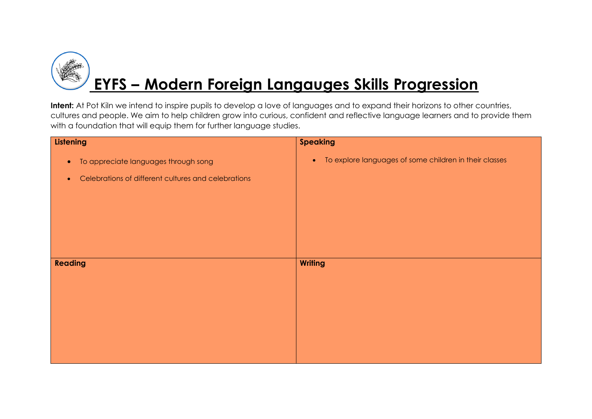

| Listening                                                        | <b>Speaking</b>                                                     |
|------------------------------------------------------------------|---------------------------------------------------------------------|
| To appreciate languages through song<br>$\bullet$                | To explore languages of some children in their classes<br>$\bullet$ |
| Celebrations of different cultures and celebrations<br>$\bullet$ |                                                                     |
|                                                                  |                                                                     |
|                                                                  |                                                                     |
|                                                                  |                                                                     |
|                                                                  |                                                                     |
|                                                                  |                                                                     |
| Reading                                                          | <b>Writing</b>                                                      |
|                                                                  |                                                                     |
|                                                                  |                                                                     |
|                                                                  |                                                                     |
|                                                                  |                                                                     |
|                                                                  |                                                                     |
|                                                                  |                                                                     |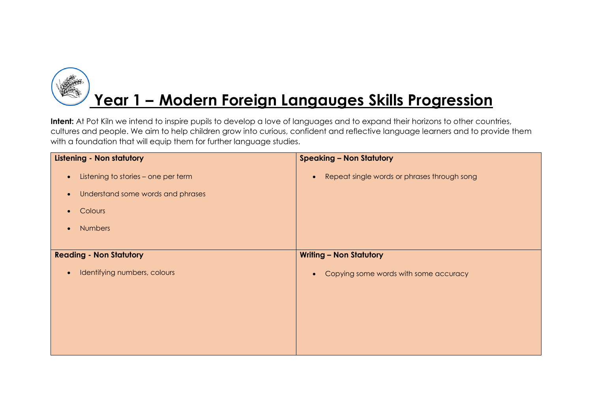# **Year 1 – Modern Foreign Langauges Skills Progression**

| <b>Listening - Non statutory</b>                 | <b>Speaking - Non Statutory</b>                          |
|--------------------------------------------------|----------------------------------------------------------|
| Listening to stories - one per term<br>$\bullet$ | Repeat single words or phrases through song<br>$\bullet$ |
| Understand some words and phrases<br>$\bullet$   |                                                          |
| Colours<br>$\bullet$                             |                                                          |
| <b>Numbers</b><br>$\bullet$                      |                                                          |
|                                                  |                                                          |
| <b>Reading - Non Statutory</b>                   | <b>Writing - Non Statutory</b>                           |
| Identifying numbers, colours<br>$\bullet$        | Copying some words with some accuracy                    |
|                                                  |                                                          |
|                                                  |                                                          |
|                                                  |                                                          |
|                                                  |                                                          |
|                                                  |                                                          |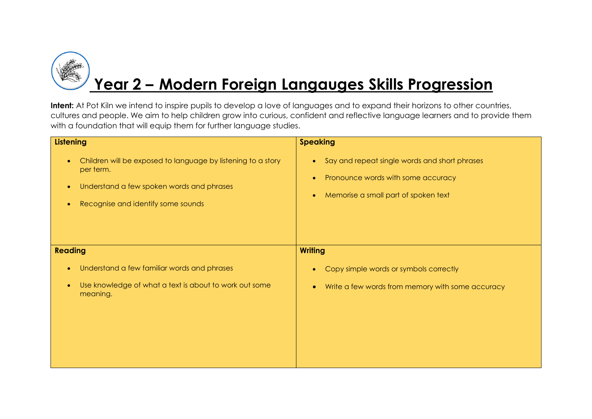

| <b>Listening</b>                                                                                                                                                                                    | <b>Speaking</b>                                                                                                             |
|-----------------------------------------------------------------------------------------------------------------------------------------------------------------------------------------------------|-----------------------------------------------------------------------------------------------------------------------------|
| Children will be exposed to language by listening to a story<br>$\bullet$<br>per term.<br>Understand a few spoken words and phrases<br>$\bullet$<br>Recognise and identify some sounds<br>$\bullet$ | Say and repeat single words and short phrases<br>Pronounce words with some accuracy<br>Memorise a small part of spoken text |
| <b>Reading</b>                                                                                                                                                                                      | <b>Writing</b>                                                                                                              |
|                                                                                                                                                                                                     |                                                                                                                             |
| Understand a few familiar words and phrases<br>$\bullet$                                                                                                                                            | Copy simple words or symbols correctly                                                                                      |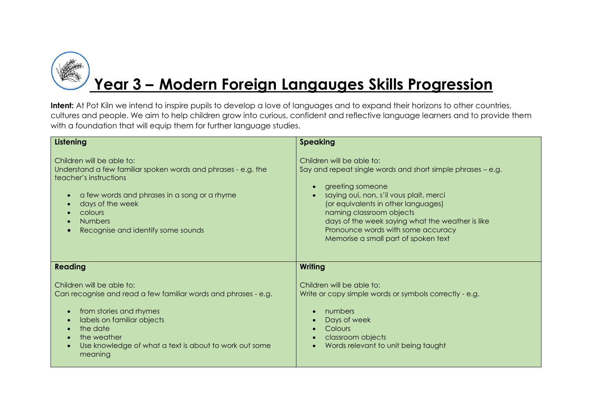

### **Year 3 – Modern Foreign Langauges Skills Progression**

| Listening                                                                                                                                                                                                                                                                                                | <b>Speaking</b>                                                                                                                                                                                                                                                                                                                                              |
|----------------------------------------------------------------------------------------------------------------------------------------------------------------------------------------------------------------------------------------------------------------------------------------------------------|--------------------------------------------------------------------------------------------------------------------------------------------------------------------------------------------------------------------------------------------------------------------------------------------------------------------------------------------------------------|
| Children will be able to:<br>Understand a few familiar spoken words and phrases - e.g. the<br>teacher's instructions<br>a few words and phrases in a song or a rhyme<br>$\bullet$<br>days of the week<br>colours<br><b>Numbers</b><br>Recognise and identify some sounds                                 | Children will be able to:<br>Say and repeat single words and short simple phrases – e.g.<br>greeting someone<br>saying oui, non, s'il vous plait, merci<br>(or equivalents in other languages)<br>naming classroom objects<br>days of the week saying what the weather is like<br>Pronounce words with some accuracy<br>Memorise a small part of spoken text |
| <b>Reading</b>                                                                                                                                                                                                                                                                                           | <b>Writing</b>                                                                                                                                                                                                                                                                                                                                               |
| Children will be able to:<br>Can recognise and read a few familiar words and phrases - e.g.<br>from stories and rhymes<br>$\bullet$<br>labels on familiar objects<br>$\bullet$<br>the date<br>the weather<br>$\bullet$<br>Use knowledge of what a text is about to work out some<br>$\bullet$<br>meaning | Children will be able to:<br>Write or copy simple words or symbols correctly - e.g.<br>numbers<br>Days of week<br>Colours<br>classroom objects<br>Words relevant to unit being taught                                                                                                                                                                        |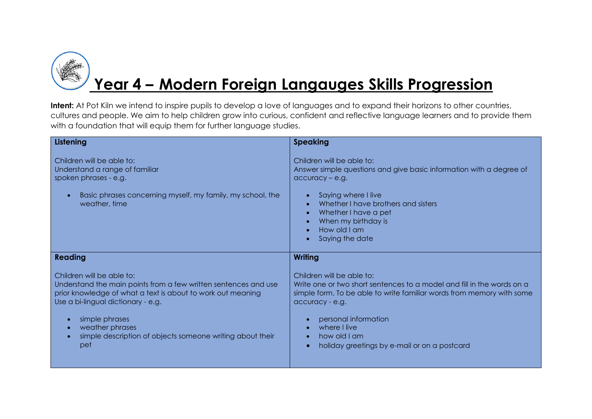

## **Year 4 – Modern Foreign Langauges Skills Progression**

| Listening                                                                                                                                                   | <b>Speaking</b>                                                                                                                                           |
|-------------------------------------------------------------------------------------------------------------------------------------------------------------|-----------------------------------------------------------------------------------------------------------------------------------------------------------|
| Children will be able to:<br>Understand a range of familiar<br>spoken phrases - e.g.                                                                        | Children will be able to:<br>Answer simple questions and give basic information with a degree of<br>$accuracy - e.g.$                                     |
| Basic phrases concerning myself, my family, my school, the<br>$\bullet$<br>weather, time                                                                    | Saying where I live<br>Whether I have brothers and sisters<br>Whether I have a pet<br>$\bullet$<br>When my birthday is<br>How old I am<br>Saying the date |
| <b>Reading</b>                                                                                                                                              | <b>Writing</b>                                                                                                                                            |
| Children will be able to:<br>Understand the main points from a few written sentences and use<br>prior knowledge of what a text is about to work out meaning | Children will be able to:<br>Write one or two short sentences to a model and fill in the words on a                                                       |
| Use a bi-lingual dictionary - e.g.<br>simple phrases<br>$\bullet$                                                                                           | simple form. To be able to write familiar words from memory with some<br>accuracy - e.g.<br>personal information                                          |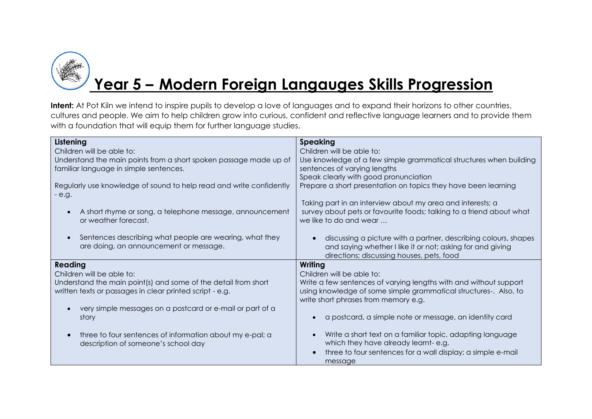

### **Year 5 – Modern Foreign Langauges Skills Progression**

| <b>Speaking</b>                                                                                                                          |
|------------------------------------------------------------------------------------------------------------------------------------------|
| Children will be able to:                                                                                                                |
| Use knowledge of a few simple grammatical structures when building                                                                       |
| sentences of varying lengths                                                                                                             |
| Speak clearly with good pronunciation                                                                                                    |
| Prepare a short presentation on topics they have been learning                                                                           |
| Taking part in an interview about my area and interests; a                                                                               |
| survey about pets or favourite foods; talking to a friend about what<br>we like to do and wear                                           |
| discussing a picture with a partner, describing colours, shapes<br>and saying whether I like it or not; asking for and giving            |
| directions; discussing houses, pets, food                                                                                                |
| Writing                                                                                                                                  |
| Children will be able to:                                                                                                                |
| Write a few sentences of varying lengths with and without support                                                                        |
| using knowledge of some simple grammatical structures-. Also, to                                                                         |
| write short phrases from memory e.g.                                                                                                     |
|                                                                                                                                          |
| a postcard, a simple note or message, an identity card                                                                                   |
|                                                                                                                                          |
| Write a short text on a familiar topic, adapting language                                                                                |
| which they have already learnt-e.g.                                                                                                      |
| three to four sentences for a wall display; a simple e-mail<br>message                                                                   |
| Understand the main points from a short spoken passage made up of<br>Regularly use knowledge of sound to help read and write confidently |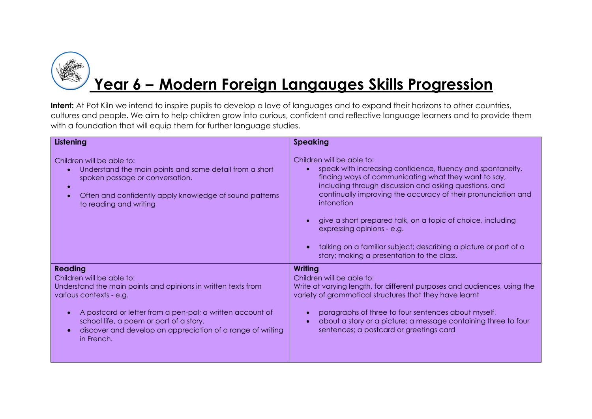

## **Year 6 – Modern Foreign Langauges Skills Progression**

| Listening                                                                                                                                                                                                                                                                                                                                | <b>Speaking</b>                                                                                                                                                                                                                                                                                                                                                                                                                                                                                         |
|------------------------------------------------------------------------------------------------------------------------------------------------------------------------------------------------------------------------------------------------------------------------------------------------------------------------------------------|---------------------------------------------------------------------------------------------------------------------------------------------------------------------------------------------------------------------------------------------------------------------------------------------------------------------------------------------------------------------------------------------------------------------------------------------------------------------------------------------------------|
| Children will be able to:<br>Understand the main points and some detail from a short<br>spoken passage or conversation.<br>$\bullet$<br>Often and confidently apply knowledge of sound patterns<br>$\bullet$<br>to reading and writing                                                                                                   | Children will be able to:<br>speak with increasing confidence, fluency and spontaneity,<br>finding ways of communicating what they want to say,<br>including through discussion and asking questions, and<br>continually improving the accuracy of their pronunciation and<br>intonation<br>give a short prepared talk, on a topic of choice, including<br>expressing opinions - e.g.<br>talking on a familiar subject; describing a picture or part of a<br>story; making a presentation to the class. |
| <b>Reading</b><br>Children will be able to:<br>Understand the main points and opinions in written texts from<br>various contexts - e.g.<br>A postcard or letter from a pen-pal; a written account of<br>school life, a poem or part of a story.<br>discover and develop an appreciation of a range of writing<br>$\bullet$<br>in French. | <b>Writing</b><br>Children will be able to:<br>Write at varying length, for different purposes and audiences, using the<br>variety of grammatical structures that they have learnt<br>paragraphs of three to four sentences about myself,<br>about a story or a picture; a message containing three to four<br>sentences; a postcard or greetings card                                                                                                                                                  |